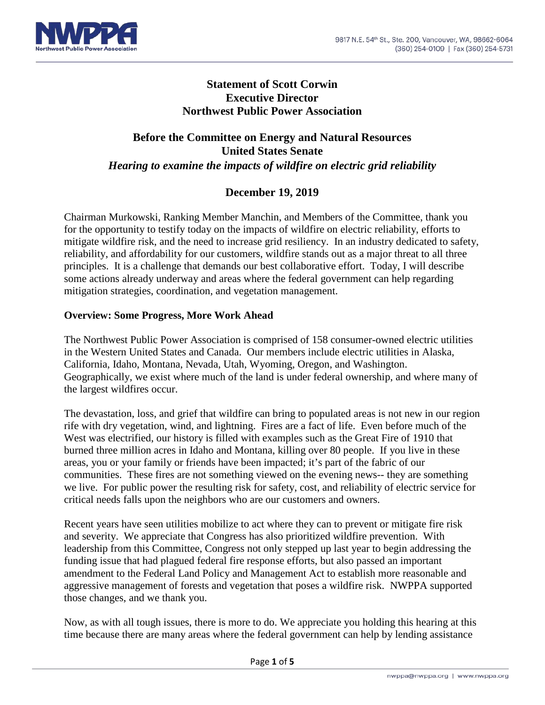

## **Statement of Scott Corwin Executive Director Northwest Public Power Association**

# **Before the Committee on Energy and Natural Resources United States Senate** *Hearing to examine the impacts of wildfire on electric grid [reliability](https://www.energy.senate.gov/public/index.cfm/hearings-and-business-meetings?ID=38AF59AB-6C4C-4854-87CA-48CFD630A032)*

# **December 19, 2019**

Chairman Murkowski, Ranking Member Manchin, and Members of the Committee, thank you for the opportunity to testify today on the impacts of wildfire on electric reliability, efforts to mitigate wildfire risk, and the need to increase grid resiliency. In an industry dedicated to safety, reliability, and affordability for our customers, wildfire stands out as a major threat to all three principles. It is a challenge that demands our best collaborative effort. Today, I will describe some actions already underway and areas where the federal government can help regarding mitigation strategies, coordination, and vegetation management.

#### **Overview: Some Progress, More Work Ahead**

The Northwest Public Power Association is comprised of 158 consumer-owned electric utilities in the Western United States and Canada. Our members include electric utilities in Alaska, California, Idaho, Montana, Nevada, Utah, Wyoming, Oregon, and Washington. Geographically, we exist where much of the land is under federal ownership, and where many of the largest wildfires occur.

The devastation, loss, and grief that wildfire can bring to populated areas is not new in our region rife with dry vegetation, wind, and lightning. Fires are a fact of life. Even before much of the West was electrified, our history is filled with examples such as the Great Fire of 1910 that burned three million acres in Idaho and Montana, killing over 80 people. If you live in these areas, you or your family or friends have been impacted; it's part of the fabric of our communities. These fires are not something viewed on the evening news-- they are something we live. For public power the resulting risk for safety, cost, and reliability of electric service for critical needs falls upon the neighbors who are our customers and owners.

Recent years have seen utilities mobilize to act where they can to prevent or mitigate fire risk and severity. We appreciate that Congress has also prioritized wildfire prevention. With leadership from this Committee, Congress not only stepped up last year to begin addressing the funding issue that had plagued federal fire response efforts, but also passed an important amendment to the Federal Land Policy and Management Act to establish more reasonable and aggressive management of forests and vegetation that poses a wildfire risk. NWPPA supported those changes, and we thank you.

Now, as with all tough issues, there is more to do. We appreciate you holding this hearing at this time because there are many areas where the federal government can help by lending assistance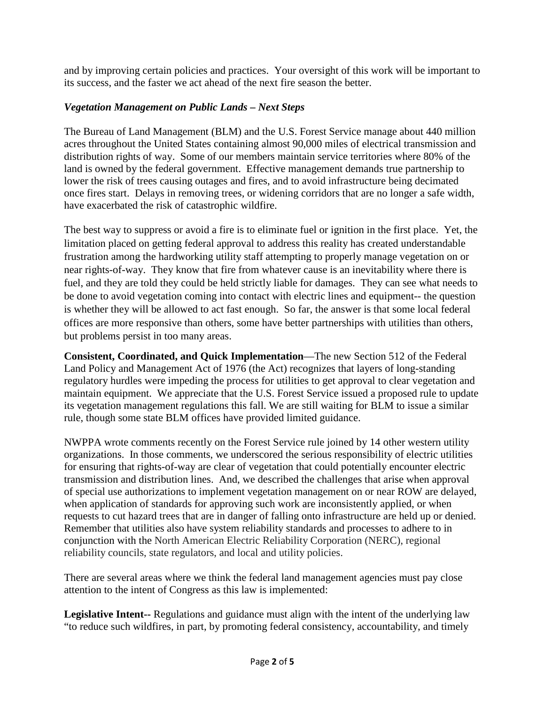and by improving certain policies and practices. Your oversight of this work will be important to its success, and the faster we act ahead of the next fire season the better.

### *Vegetation Management on Public Lands – Next Steps*

The Bureau of Land Management (BLM) and the U.S. Forest Service manage about 440 million acres throughout the United States containing almost 90,000 miles of electrical transmission and distribution rights of way. Some of our members maintain service territories where 80% of the land is owned by the federal government. Effective management demands true partnership to lower the risk of trees causing outages and fires, and to avoid infrastructure being decimated once fires start. Delays in removing trees, or widening corridors that are no longer a safe width, have exacerbated the risk of catastrophic wildfire.

The best way to suppress or avoid a fire is to eliminate fuel or ignition in the first place. Yet, the limitation placed on getting federal approval to address this reality has created understandable frustration among the hardworking utility staff attempting to properly manage vegetation on or near rights-of-way. They know that fire from whatever cause is an inevitability where there is fuel, and they are told they could be held strictly liable for damages. They can see what needs to be done to avoid vegetation coming into contact with electric lines and equipment-- the question is whether they will be allowed to act fast enough. So far, the answer is that some local federal offices are more responsive than others, some have better partnerships with utilities than others, but problems persist in too many areas.

**Consistent, Coordinated, and Quick Implementation**—The new Section 512 of the Federal Land Policy and Management Act of 1976 (the Act) recognizes that layers of long-standing regulatory hurdles were impeding the process for utilities to get approval to clear vegetation and maintain equipment. We appreciate that the U.S. Forest Service issued a proposed rule to update its vegetation management regulations this fall. We are still waiting for BLM to issue a similar rule, though some state BLM offices have provided limited guidance.

NWPPA wrote comments recently on the Forest Service rule joined by 14 other western utility organizations. In those comments, we underscored the serious responsibility of electric utilities for ensuring that rights-of-way are clear of vegetation that could potentially encounter electric transmission and distribution lines. And, we described the challenges that arise when approval of special use authorizations to implement vegetation management on or near ROW are delayed, when application of standards for approving such work are inconsistently applied, or when requests to cut hazard trees that are in danger of falling onto infrastructure are held up or denied. Remember that utilities also have system reliability standards and processes to adhere to in conjunction with the North American Electric Reliability Corporation (NERC), regional reliability councils, state regulators, and local and utility policies.

There are several areas where we think the federal land management agencies must pay close attention to the intent of Congress as this law is implemented:

**Legislative Intent--** Regulations and guidance must align with the intent of the underlying law "to reduce such wildfires, in part, by promoting federal consistency, accountability, and timely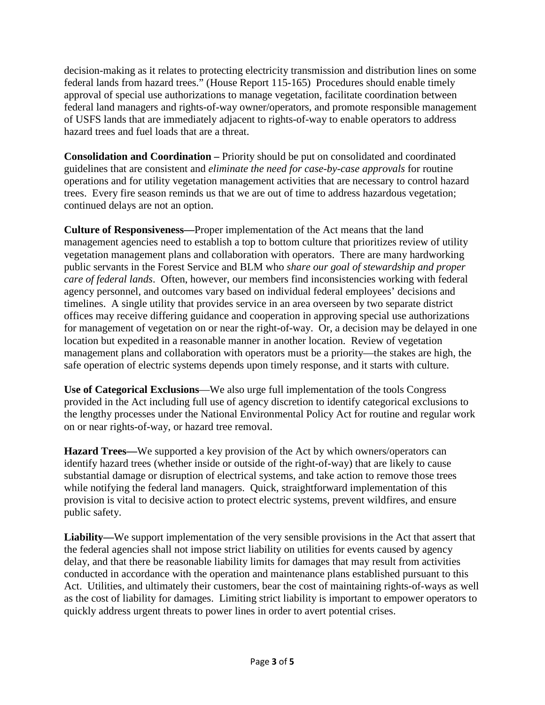decision-making as it relates to protecting electricity transmission and distribution lines on some federal lands from hazard trees." (House Report 115-165) Procedures should enable timely approval of special use authorizations to manage vegetation, facilitate coordination between federal land managers and rights-of-way owner/operators, and promote responsible management of USFS lands that are immediately adjacent to rights-of-way to enable operators to address hazard trees and fuel loads that are a threat.

**Consolidation and Coordination –** Priority should be put on consolidated and coordinated guidelines that are consistent and *eliminate the need for case-by-case approvals* for routine operations and for utility vegetation management activities that are necessary to control hazard trees. Every fire season reminds us that we are out of time to address hazardous vegetation; continued delays are not an option.

**Culture of Responsiveness—**Proper implementation of the Act means that the land management agencies need to establish a top to bottom culture that prioritizes review of utility vegetation management plans and collaboration with operators. There are many hardworking public servants in the Forest Service and BLM who *share our goal of stewardship and proper care of federal lands*. Often, however, our members find inconsistencies working with federal agency personnel, and outcomes vary based on individual federal employees' decisions and timelines. A single utility that provides service in an area overseen by two separate district offices may receive differing guidance and cooperation in approving special use authorizations for management of vegetation on or near the right-of-way. Or, a decision may be delayed in one location but expedited in a reasonable manner in another location. Review of vegetation management plans and collaboration with operators must be a priority—the stakes are high, the safe operation of electric systems depends upon timely response, and it starts with culture.

**Use of Categorical Exclusions**—We also urge full implementation of the tools Congress provided in the Act including full use of agency discretion to identify categorical exclusions to the lengthy processes under the National Environmental Policy Act for routine and regular work on or near rights-of-way, or hazard tree removal.

**Hazard Trees—**We supported a key provision of the Act by which owners/operators can identify hazard trees (whether inside or outside of the right-of-way) that are likely to cause substantial damage or disruption of electrical systems, and take action to remove those trees while notifying the federal land managers. Quick, straightforward implementation of this provision is vital to decisive action to protect electric systems, prevent wildfires, and ensure public safety.

**Liability—**We support implementation of the very sensible provisions in the Act that assert that the federal agencies shall not impose strict liability on utilities for events caused by agency delay, and that there be reasonable liability limits for damages that may result from activities conducted in accordance with the operation and maintenance plans established pursuant to this Act. Utilities, and ultimately their customers, bear the cost of maintaining rights-of-ways as well as the cost of liability for damages. Limiting strict liability is important to empower operators to quickly address urgent threats to power lines in order to avert potential crises.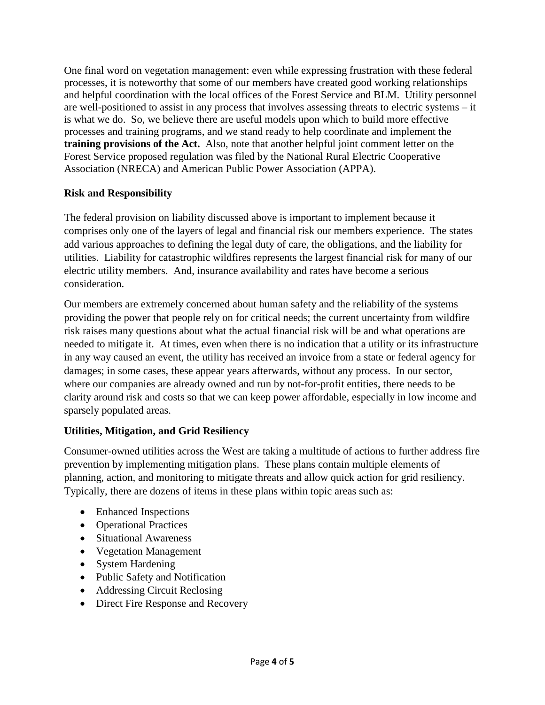One final word on vegetation management: even while expressing frustration with these federal processes, it is noteworthy that some of our members have created good working relationships and helpful coordination with the local offices of the Forest Service and BLM. Utility personnel are well-positioned to assist in any process that involves assessing threats to electric systems – it is what we do. So, we believe there are useful models upon which to build more effective processes and training programs, and we stand ready to help coordinate and implement the **training provisions of the Act.** Also, note that another helpful joint comment letter on the Forest Service proposed regulation was filed by the National Rural Electric Cooperative Association (NRECA) and American Public Power Association (APPA).

## **Risk and Responsibility**

The federal provision on liability discussed above is important to implement because it comprises only one of the layers of legal and financial risk our members experience. The states add various approaches to defining the legal duty of care, the obligations, and the liability for utilities. Liability for catastrophic wildfires represents the largest financial risk for many of our electric utility members. And, insurance availability and rates have become a serious consideration.

Our members are extremely concerned about human safety and the reliability of the systems providing the power that people rely on for critical needs; the current uncertainty from wildfire risk raises many questions about what the actual financial risk will be and what operations are needed to mitigate it. At times, even when there is no indication that a utility or its infrastructure in any way caused an event, the utility has received an invoice from a state or federal agency for damages; in some cases, these appear years afterwards, without any process. In our sector, where our companies are already owned and run by not-for-profit entities, there needs to be clarity around risk and costs so that we can keep power affordable, especially in low income and sparsely populated areas.

## **Utilities, Mitigation, and Grid Resiliency**

Consumer-owned utilities across the West are taking a multitude of actions to further address fire prevention by implementing mitigation plans. These plans contain multiple elements of planning, action, and monitoring to mitigate threats and allow quick action for grid resiliency. Typically, there are dozens of items in these plans within topic areas such as:

- Enhanced Inspections
- Operational Practices
- Situational Awareness
- Vegetation Management
- System Hardening
- Public Safety and Notification
- Addressing Circuit Reclosing
- Direct Fire Response and Recovery